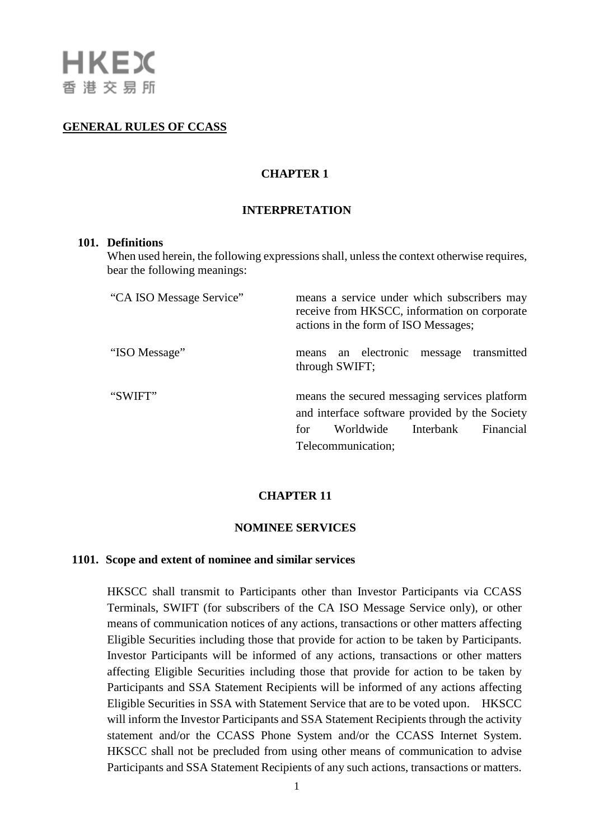# **GENERAL RULES OF CCASS**

# **CHAPTER 1**

### **INTERPRETATION**

#### **101. Definitions**

When used herein, the following expressions shall, unless the context otherwise requires, bear the following meanings:

| "CA ISO Message Service" | means a service under which subscribers may<br>receive from HKSCC, information on corporate<br>actions in the form of ISO Messages;                                 |
|--------------------------|---------------------------------------------------------------------------------------------------------------------------------------------------------------------|
| "ISO Message"            | means an electronic message transmitted<br>through SWIFT;                                                                                                           |
| "SWIFT"                  | means the secured messaging services platform<br>and interface software provided by the Society<br>Worldwide<br>Interbank<br>Financial<br>for<br>Telecommunication; |

### **CHAPTER 11**

#### **NOMINEE SERVICES**

#### **1101. Scope and extent of nominee and similar services**

HKSCC shall transmit to Participants other than Investor Participants via CCASS Terminals, SWIFT (for subscribers of the CA ISO Message Service only), or other means of communication notices of any actions, transactions or other matters affecting Eligible Securities including those that provide for action to be taken by Participants. Investor Participants will be informed of any actions, transactions or other matters affecting Eligible Securities including those that provide for action to be taken by Participants and SSA Statement Recipients will be informed of any actions affecting Eligible Securities in SSA with Statement Service that are to be voted upon. HKSCC will inform the Investor Participants and SSA Statement Recipients through the activity statement and/or the CCASS Phone System and/or the CCASS Internet System. HKSCC shall not be precluded from using other means of communication to advise Participants and SSA Statement Recipients of any such actions, transactions or matters.